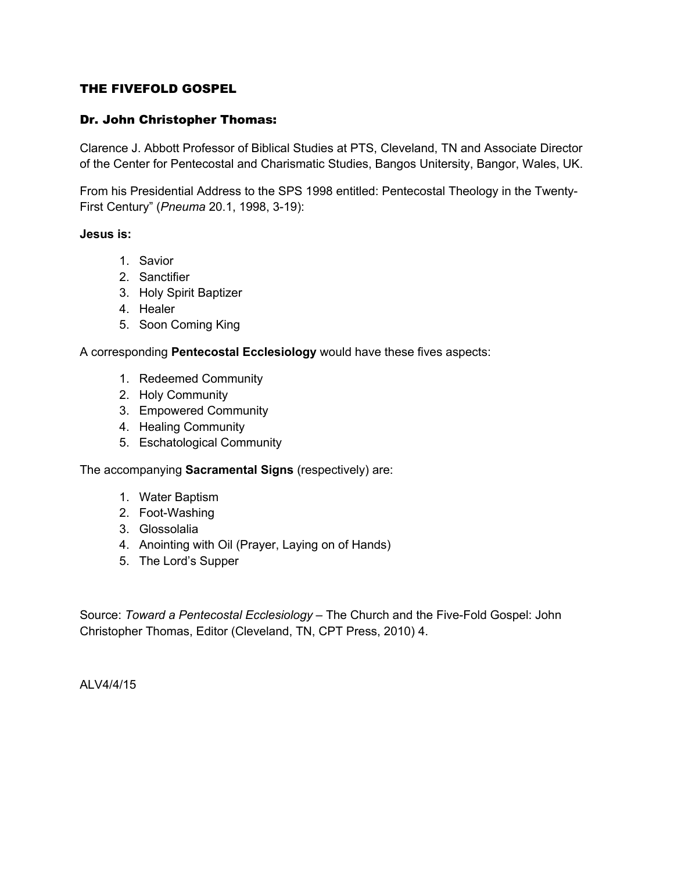# THE FIVEFOLD GOSPEL

## Dr. John Christopher Thomas:

Clarence J. Abbott Professor of Biblical Studies at PTS, Cleveland, TN and Associate Director of the Center for Pentecostal and Charismatic Studies, Bangos Unitersity, Bangor, Wales, UK.

From his Presidential Address to the SPS 1998 entitled: Pentecostal Theology in the Twenty-First Century" (*Pneuma* 20.1, 1998, 3-19):

#### **Jesus is:**

- 1. Savior
- 2. Sanctifier
- 3. Holy Spirit Baptizer
- 4. Healer
- 5. Soon Coming King

A corresponding **Pentecostal Ecclesiology** would have these fives aspects:

- 1. Redeemed Community
- 2. Holy Community
- 3. Empowered Community
- 4. Healing Community
- 5. Eschatological Community

The accompanying **Sacramental Signs** (respectively) are:

- 1. Water Baptism
- 2. Foot-Washing
- 3. Glossolalia
- 4. Anointing with Oil (Prayer, Laying on of Hands)
- 5. The Lord's Supper

Source: *Toward a Pentecostal Ecclesiology* – The Church and the Five-Fold Gospel: John Christopher Thomas, Editor (Cleveland, TN, CPT Press, 2010) 4.

ALV4/4/15